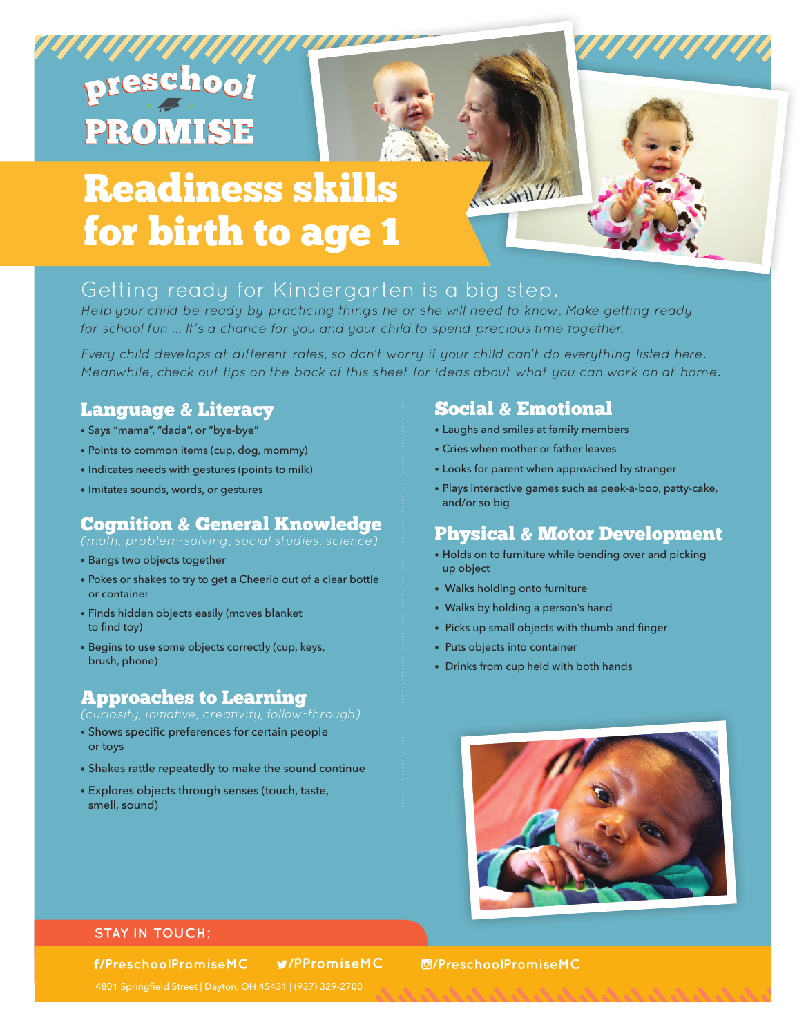# preschool **PROMISE**

# Readiness skills for birth to age 1

## Getting ready for Kindergarten is a big step.

Help your child be ready by practicing things he or she will need to know. Make getting ready for school fun … It's a chance for you and your child to spend precious time together.

Every child develops at different rates, so don't worry if your child can't do everything listed here. Meanwhile, check out tips on the back of this sheet for ideas about what you can work on at home.

### Language & Literacy

- Says "mama", "dada", or "bye-bye"
- Points to common items (cup, dog, mommy)
- Indicates needs with gestures (points to milk)
- Imitates sounds, words, or gestures

### Cognition & General Knowledge

- Bangs two objects together
- Pokes or shakes to try to get a Cheerio out of a clear bottle or container
- Finds hidden objects easily (moves blanket to find toy)
- Begins to use some objects correctly (cup, keys, brush, phone)

### Approaches to Learning

- (curiosity, initiative, creativity, follow-through)
- Shows specific preferences for certain people or toys
- Shakes rattle repeatedly to make the sound continue
- Explores objects through senses (touch, taste, smell, sound)

### Social & Emotional

Witnes

- Laughs and smiles at family members
- Cries when mother or father leaves
- Looks for parent when approached by stranger
- Plays interactive games such as peek-a-boo, patty-cake, and/or so big

### Physical & Motor Development

- Holds on to furniture while bending over and picking up object
- Walks holding onto furniture
- Walks by holding a person's hand
- Picks up small objects with thumb and finger
- Puts objects into container
- Drinks from cup held with both hands



### **STAY IN TOUCH:**

f/PreschoolPromiseMC

**/PPromiseMC /PreschoolPromiseMC**